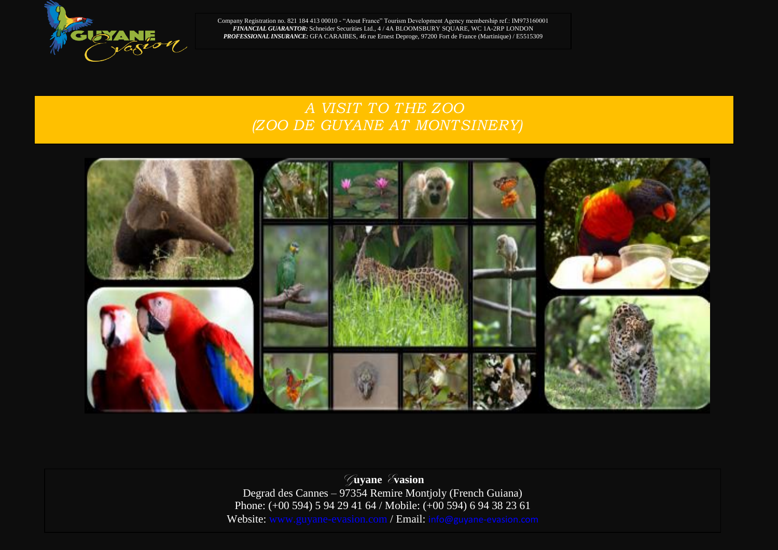

Company Registration no. 821 184 413 00010 - "Atout France" Tourism Development Agency membership ref.: IM973160001 *FINANCIAL GUARANTOR:* Schneider Securities Ltd., 4 / 4A BLOOMSBURY SQUARE, WC 1A-2RP LONDON *PROFESSIONAL INSURANCE:* GFA CARAIBES, 46 rue Ernest Deproge, 97200 Fort de France (Martinique) / E5515309

## *A VISIT TO THE ZOO (ZOO DE GUYANE AT MONTSINERY)*



G**uyane** E**vasion**  Degrad des Cannes – 97354 Remire Montjoly (French Guiana) Phone: (+00 594) 5 94 29 41 64 / Mobile: (+00 594) 6 94 38 23 61 Website: www.guyane-evasion.com / Email: info@guyane-evasion.com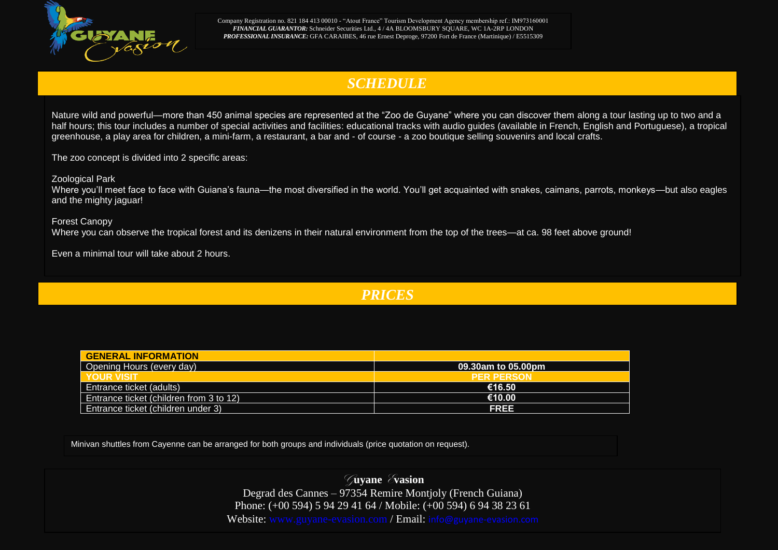

Company Registration no. 821 184 413 00010 - "Atout France" Tourism Development Agency membership ref.: IM973160001 *FINANCIAL GUARANTOR:* Schneider Securities Ltd., 4 / 4A BLOOMSBURY SQUARE, WC 1A-2RP LONDON *PROFESSIONAL INSURANCE:* GFA CARAIBES, 46 rue Ernest Deproge, 97200 Fort de France (Martinique) / E5515309

## *SCHEDULE*

Nature wild and powerful—more than 450 animal species are represented at the "Zoo de Guyane" where you can discover them along a tour lasting up to two and a half hours; this tour includes a number of special activities and facilities: educational tracks with audio guides (available in French, English and Portuguese), a tropical greenhouse, a play area for children, a mini-farm, a restaurant, a bar and - of course - a zoo boutique selling souvenirs and local crafts.

The zoo concept is divided into 2 specific areas:

Zoological Park

Where you'll meet face to face with Guiana's fauna—the most diversified in the world. You'll get acquainted with snakes, caimans, parrots, monkeys—but also eagles and the mighty jaguar!

Forest Canopy Where you can observe the tropical forest and its denizens in their natural environment from the top of the trees—at ca. 98 feet above ground!

Even a minimal tour will take about 2 hours.

*PRICES*

| <b>GENERAL INFORMATION</b>              |                    |
|-----------------------------------------|--------------------|
| Opening Hours (every day)               | 09.30am to 05.00pm |
| YOUR VISIT                              | <b>PER PERSON</b>  |
| <b>Entrance ticket (adults)</b>         | €16.50             |
| Entrance ticket (children from 3 to 12) | €10.00             |
| Entrance ticket (children under 3)      | <b>FREE</b>        |

Minivan shuttles from Cayenne can be arranged for both groups and individuals (price quotation on request).

G**uyane** E**vasion**  Degrad des Cannes – 97354 Remire Montjoly (French Guiana) Phone: (+00 594) 5 94 29 41 64 / Mobile: (+00 594) 6 94 38 23 61 Website: www.guyane-evasion.com / Email: info@guyane-evasion.com